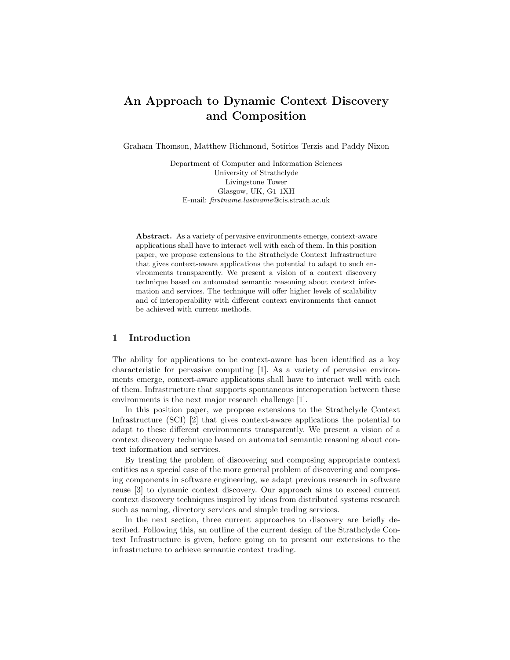# An Approach to Dynamic Context Discovery and Composition

Graham Thomson, Matthew Richmond, Sotirios Terzis and Paddy Nixon

Department of Computer and Information Sciences University of Strathclyde Livingstone Tower Glasgow, UK, G1 1XH E-mail: firstname.lastname@cis.strath.ac.uk

Abstract. As a variety of pervasive environments emerge, context-aware applications shall have to interact well with each of them. In this position paper, we propose extensions to the Strathclyde Context Infrastructure that gives context-aware applications the potential to adapt to such environments transparently. We present a vision of a context discovery technique based on automated semantic reasoning about context information and services. The technique will offer higher levels of scalability and of interoperability with different context environments that cannot be achieved with current methods.

## 1 Introduction

The ability for applications to be context-aware has been identified as a key characteristic for pervasive computing [1]. As a variety of pervasive environments emerge, context-aware applications shall have to interact well with each of them. Infrastructure that supports spontaneous interoperation between these environments is the next major research challenge [1].

In this position paper, we propose extensions to the Strathclyde Context Infrastructure (SCI) [2] that gives context-aware applications the potential to adapt to these different environments transparently. We present a vision of a context discovery technique based on automated semantic reasoning about context information and services.

By treating the problem of discovering and composing appropriate context entities as a special case of the more general problem of discovering and composing components in software engineering, we adapt previous research in software reuse [3] to dynamic context discovery. Our approach aims to exceed current context discovery techniques inspired by ideas from distributed systems research such as naming, directory services and simple trading services.

In the next section, three current approaches to discovery are briefly described. Following this, an outline of the current design of the Strathclyde Context Infrastructure is given, before going on to present our extensions to the infrastructure to achieve semantic context trading.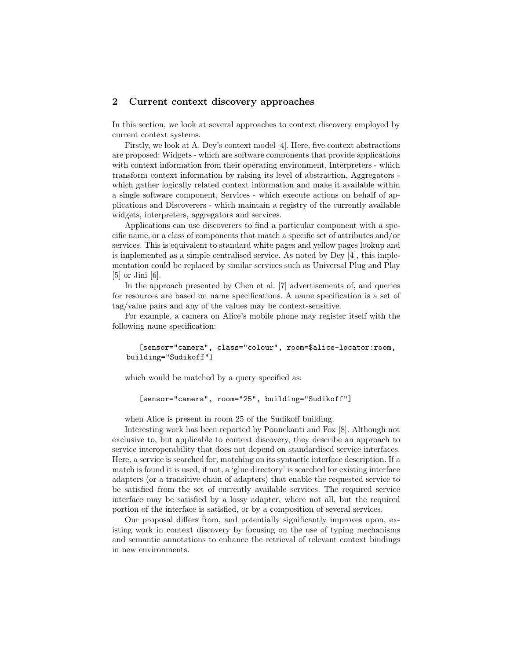## 2 Current context discovery approaches

In this section, we look at several approaches to context discovery employed by current context systems.

Firstly, we look at A. Dey's context model [4]. Here, five context abstractions are proposed: Widgets - which are software components that provide applications with context information from their operating environment, Interpreters - which transform context information by raising its level of abstraction, Aggregators which gather logically related context information and make it available within a single software component, Services - which execute actions on behalf of applications and Discoverers - which maintain a registry of the currently available widgets, interpreters, aggregators and services.

Applications can use discoverers to find a particular component with a specific name, or a class of components that match a specific set of attributes and/or services. This is equivalent to standard white pages and yellow pages lookup and is implemented as a simple centralised service. As noted by Dey [4], this implementation could be replaced by similar services such as Universal Plug and Play [5] or Jini [6].

In the approach presented by Chen et al. [7] advertisements of, and queries for resources are based on name specifications. A name specification is a set of tag/value pairs and any of the values may be context-sensitive.

For example, a camera on Alice's mobile phone may register itself with the following name specification:

```
[sensor="camera", class="colour", room=$alice-locator:room,
building="Sudikoff"]
```
which would be matched by a query specified as:

[sensor="camera", room="25", building="Sudikoff"]

when Alice is present in room 25 of the Sudikoff building.

Interesting work has been reported by Ponnekanti and Fox [8]. Although not exclusive to, but applicable to context discovery, they describe an approach to service interoperability that does not depend on standardised service interfaces. Here, a service is searched for, matching on its syntactic interface description. If a match is found it is used, if not, a 'glue directory' is searched for existing interface adapters (or a transitive chain of adapters) that enable the requested service to be satisfied from the set of currently available services. The required service interface may be satisfied by a lossy adapter, where not all, but the required portion of the interface is satisfied, or by a composition of several services.

Our proposal differs from, and potentially significantly improves upon, existing work in context discovery by focusing on the use of typing mechanisms and semantic annotations to enhance the retrieval of relevant context bindings in new environments.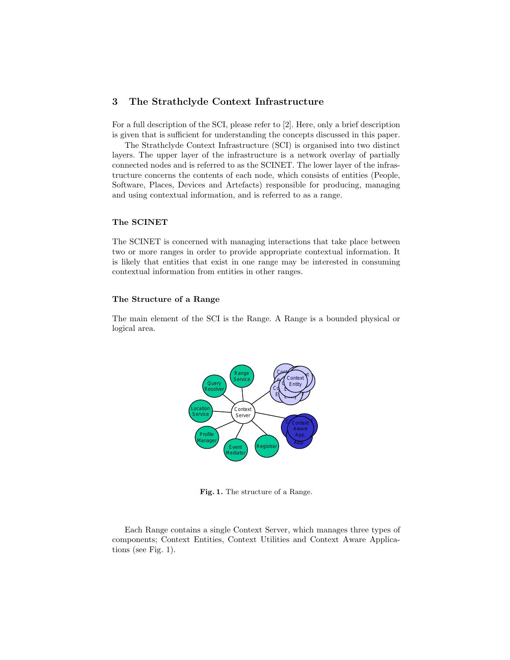# 3 The Strathclyde Context Infrastructure

For a full description of the SCI, please refer to [2]. Here, only a brief description is given that is sufficient for understanding the concepts discussed in this paper.

The Strathclyde Context Infrastructure (SCI) is organised into two distinct layers. The upper layer of the infrastructure is a network overlay of partially connected nodes and is referred to as the SCINET. The lower layer of the infrastructure concerns the contents of each node, which consists of entities (People, Software, Places, Devices and Artefacts) responsible for producing, managing and using contextual information, and is referred to as a range.

#### The SCINET

The SCINET is concerned with managing interactions that take place between two or more ranges in order to provide appropriate contextual information. It is likely that entities that exist in one range may be interested in consuming contextual information from entities in other ranges.

#### The Structure of a Range

The main element of the SCI is the Range. A Range is a bounded physical or logical area.



Fig. 1. The structure of a Range.

Each Range contains a single Context Server, which manages three types of components; Context Entities, Context Utilities and Context Aware Applications (see Fig. 1).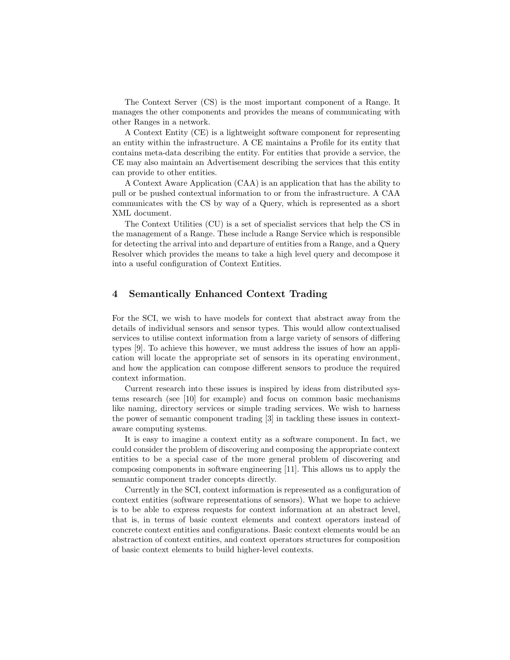The Context Server (CS) is the most important component of a Range. It manages the other components and provides the means of communicating with other Ranges in a network.

A Context Entity (CE) is a lightweight software component for representing an entity within the infrastructure. A CE maintains a Profile for its entity that contains meta-data describing the entity. For entities that provide a service, the CE may also maintain an Advertisement describing the services that this entity can provide to other entities.

A Context Aware Application (CAA) is an application that has the ability to pull or be pushed contextual information to or from the infrastructure. A CAA communicates with the CS by way of a Query, which is represented as a short XML document.

The Context Utilities (CU) is a set of specialist services that help the CS in the management of a Range. These include a Range Service which is responsible for detecting the arrival into and departure of entities from a Range, and a Query Resolver which provides the means to take a high level query and decompose it into a useful configuration of Context Entities.

# 4 Semantically Enhanced Context Trading

For the SCI, we wish to have models for context that abstract away from the details of individual sensors and sensor types. This would allow contextualised services to utilise context information from a large variety of sensors of differing types [9]. To achieve this however, we must address the issues of how an application will locate the appropriate set of sensors in its operating environment, and how the application can compose different sensors to produce the required context information.

Current research into these issues is inspired by ideas from distributed systems research (see [10] for example) and focus on common basic mechanisms like naming, directory services or simple trading services. We wish to harness the power of semantic component trading [3] in tackling these issues in contextaware computing systems.

It is easy to imagine a context entity as a software component. In fact, we could consider the problem of discovering and composing the appropriate context entities to be a special case of the more general problem of discovering and composing components in software engineering [11]. This allows us to apply the semantic component trader concepts directly.

Currently in the SCI, context information is represented as a configuration of context entities (software representations of sensors). What we hope to achieve is to be able to express requests for context information at an abstract level, that is, in terms of basic context elements and context operators instead of concrete context entities and configurations. Basic context elements would be an abstraction of context entities, and context operators structures for composition of basic context elements to build higher-level contexts.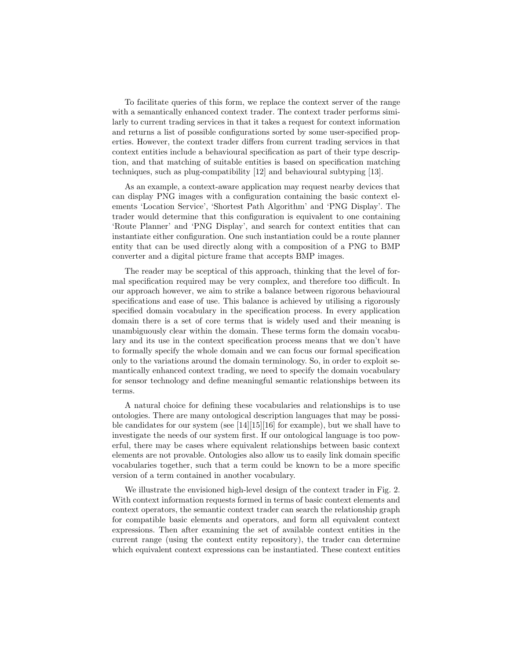To facilitate queries of this form, we replace the context server of the range with a semantically enhanced context trader. The context trader performs similarly to current trading services in that it takes a request for context information and returns a list of possible configurations sorted by some user-specified properties. However, the context trader differs from current trading services in that context entities include a behavioural specification as part of their type description, and that matching of suitable entities is based on specification matching techniques, such as plug-compatibility [12] and behavioural subtyping [13].

As an example, a context-aware application may request nearby devices that can display PNG images with a configuration containing the basic context elements 'Location Service', 'Shortest Path Algorithm' and 'PNG Display'. The trader would determine that this configuration is equivalent to one containing 'Route Planner' and 'PNG Display', and search for context entities that can instantiate either configuration. One such instantiation could be a route planner entity that can be used directly along with a composition of a PNG to BMP converter and a digital picture frame that accepts BMP images.

The reader may be sceptical of this approach, thinking that the level of formal specification required may be very complex, and therefore too difficult. In our approach however, we aim to strike a balance between rigorous behavioural specifications and ease of use. This balance is achieved by utilising a rigorously specified domain vocabulary in the specification process. In every application domain there is a set of core terms that is widely used and their meaning is unambiguously clear within the domain. These terms form the domain vocabulary and its use in the context specification process means that we don't have to formally specify the whole domain and we can focus our formal specification only to the variations around the domain terminology. So, in order to exploit semantically enhanced context trading, we need to specify the domain vocabulary for sensor technology and define meaningful semantic relationships between its terms.

A natural choice for defining these vocabularies and relationships is to use ontologies. There are many ontological description languages that may be possible candidates for our system (see [14][15][16] for example), but we shall have to investigate the needs of our system first. If our ontological language is too powerful, there may be cases where equivalent relationships between basic context elements are not provable. Ontologies also allow us to easily link domain specific vocabularies together, such that a term could be known to be a more specific version of a term contained in another vocabulary.

We illustrate the envisioned high-level design of the context trader in Fig. 2. With context information requests formed in terms of basic context elements and context operators, the semantic context trader can search the relationship graph for compatible basic elements and operators, and form all equivalent context expressions. Then after examining the set of available context entities in the current range (using the context entity repository), the trader can determine which equivalent context expressions can be instantiated. These context entities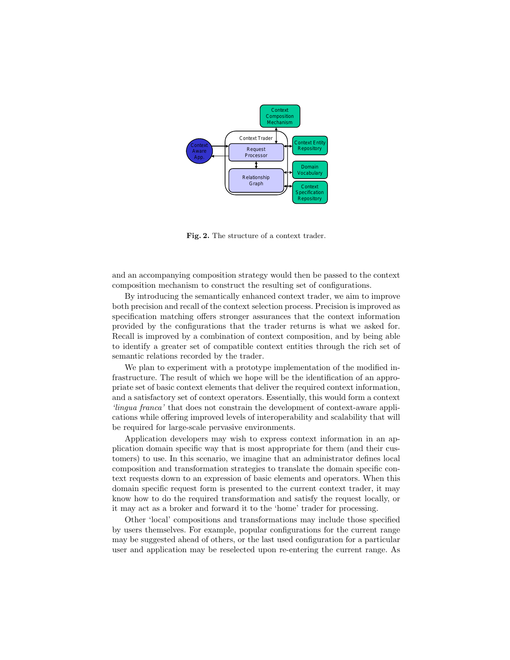

Fig. 2. The structure of a context trader.

and an accompanying composition strategy would then be passed to the context composition mechanism to construct the resulting set of configurations.

By introducing the semantically enhanced context trader, we aim to improve both precision and recall of the context selection process. Precision is improved as specification matching offers stronger assurances that the context information provided by the configurations that the trader returns is what we asked for. Recall is improved by a combination of context composition, and by being able to identify a greater set of compatible context entities through the rich set of semantic relations recorded by the trader.

We plan to experiment with a prototype implementation of the modified infrastructure. The result of which we hope will be the identification of an appropriate set of basic context elements that deliver the required context information, and a satisfactory set of context operators. Essentially, this would form a context 'lingua franca' that does not constrain the development of context-aware applications while offering improved levels of interoperability and scalability that will be required for large-scale pervasive environments.

Application developers may wish to express context information in an application domain specific way that is most appropriate for them (and their customers) to use. In this scenario, we imagine that an administrator defines local composition and transformation strategies to translate the domain specific context requests down to an expression of basic elements and operators. When this domain specific request form is presented to the current context trader, it may know how to do the required transformation and satisfy the request locally, or it may act as a broker and forward it to the 'home' trader for processing.

Other 'local' compositions and transformations may include those specified by users themselves. For example, popular configurations for the current range may be suggested ahead of others, or the last used configuration for a particular user and application may be reselected upon re-entering the current range. As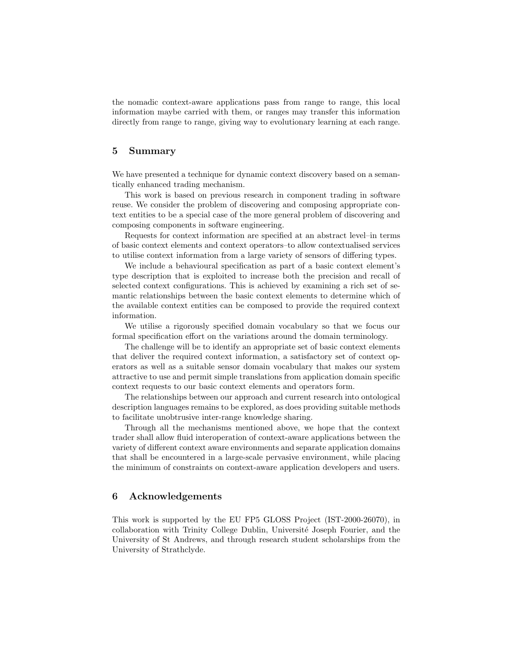the nomadic context-aware applications pass from range to range, this local information maybe carried with them, or ranges may transfer this information directly from range to range, giving way to evolutionary learning at each range.

# 5 Summary

We have presented a technique for dynamic context discovery based on a semantically enhanced trading mechanism.

This work is based on previous research in component trading in software reuse. We consider the problem of discovering and composing appropriate context entities to be a special case of the more general problem of discovering and composing components in software engineering.

Requests for context information are specified at an abstract level–in terms of basic context elements and context operators–to allow contextualised services to utilise context information from a large variety of sensors of differing types.

We include a behavioural specification as part of a basic context element's type description that is exploited to increase both the precision and recall of selected context configurations. This is achieved by examining a rich set of semantic relationships between the basic context elements to determine which of the available context entities can be composed to provide the required context information.

We utilise a rigorously specified domain vocabulary so that we focus our formal specification effort on the variations around the domain terminology.

The challenge will be to identify an appropriate set of basic context elements that deliver the required context information, a satisfactory set of context operators as well as a suitable sensor domain vocabulary that makes our system attractive to use and permit simple translations from application domain specific context requests to our basic context elements and operators form.

The relationships between our approach and current research into ontological description languages remains to be explored, as does providing suitable methods to facilitate unobtrusive inter-range knowledge sharing.

Through all the mechanisms mentioned above, we hope that the context trader shall allow fluid interoperation of context-aware applications between the variety of different context aware environments and separate application domains that shall be encountered in a large-scale pervasive environment, while placing the minimum of constraints on context-aware application developers and users.

## 6 Acknowledgements

This work is supported by the EU FP5 GLOSS Project (IST-2000-26070), in collaboration with Trinity College Dublin, Universit´e Joseph Fourier, and the University of St Andrews, and through research student scholarships from the University of Strathclyde.